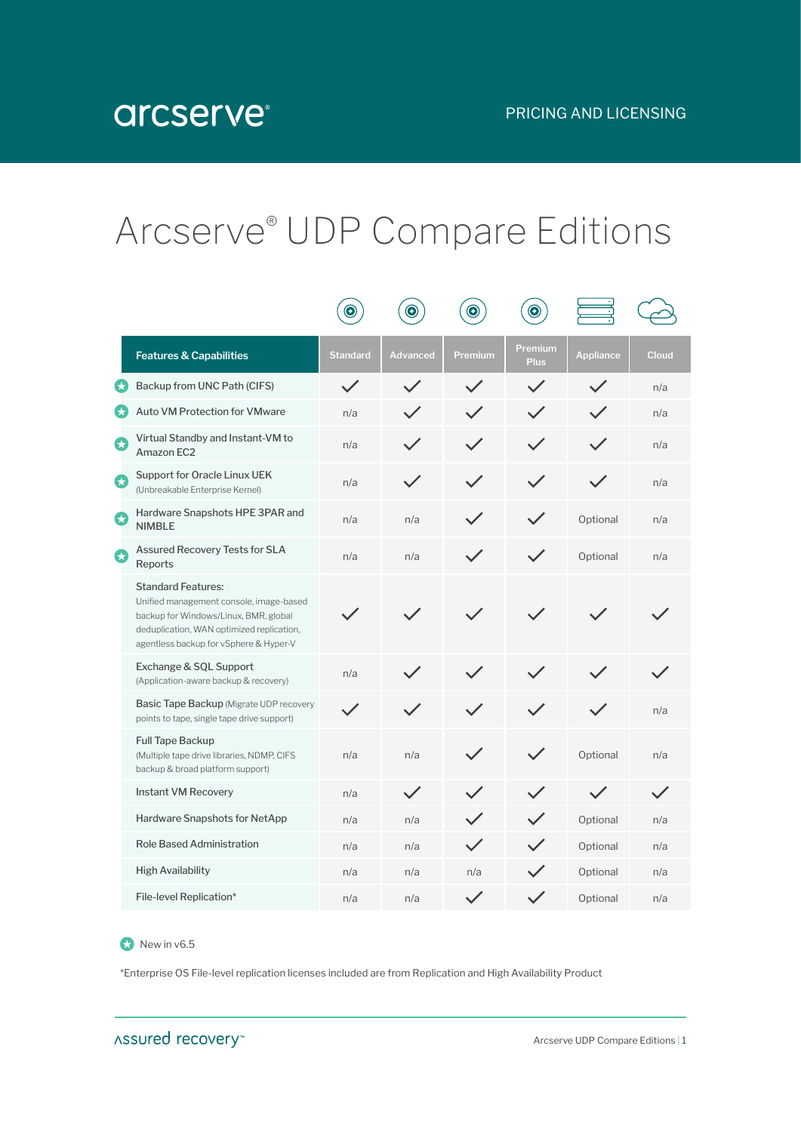## Arcserve® UDP Compare Editions

|   |                                                                                                                                                                                                      | $\bullet$       | $\bullet$       | $\bullet$    | $\bullet$                     |                  |       |
|---|------------------------------------------------------------------------------------------------------------------------------------------------------------------------------------------------------|-----------------|-----------------|--------------|-------------------------------|------------------|-------|
|   | <b>Features &amp; Capabilities</b>                                                                                                                                                                   | <b>Standard</b> | <b>Advanced</b> | Premium      | <b>Premium</b><br><b>Plus</b> | <b>Appliance</b> | Cloud |
| ★ | Backup from UNC Path (CIFS)                                                                                                                                                                          | $\checkmark$    |                 |              |                               |                  | n/a   |
| Ø | <b>Auto VM Protection for VMware</b>                                                                                                                                                                 | n/a             |                 |              | $\checkmark$                  |                  | n/a   |
| G | Virtual Standby and Instant-VM to<br>Amazon EC2                                                                                                                                                      | n/a             |                 |              |                               |                  | n/a   |
| Ω | Support for Oracle Linux UEK<br>(Unbreakable Enterprise Kernel)                                                                                                                                      | n/a             |                 |              |                               |                  | n/a   |
| Q | Hardware Snapshots HPE 3PAR and<br><b>NIMBLE</b>                                                                                                                                                     | n/a             | n/a             |              |                               | Optional         | n/a   |
| Q | <b>Assured Recovery Tests for SLA</b><br>Reports                                                                                                                                                     | n/a             | n/a             |              |                               | Optional         | n/a   |
|   | <b>Standard Features:</b><br>Unified management console, image-based<br>backup for Windows/Linux, BMR, global<br>deduplication, WAN optimized replication,<br>agentless backup for vSphere & Hyper-V |                 |                 |              |                               |                  |       |
|   | Exchange & SQL Support<br>(Application-aware backup & recovery)                                                                                                                                      | n/a             |                 |              |                               |                  |       |
|   | Basic Tape Backup (Migrate UDP recovery<br>points to tape, single tape drive support)                                                                                                                |                 |                 |              |                               |                  | n/a   |
|   | <b>Full Tape Backup</b><br>(Multiple tape drive libraries, NDMP, CIFS<br>backup & broad platform support)                                                                                            | n/a             | n/a             |              |                               | Optional         | n/a   |
|   | <b>Instant VM Recovery</b>                                                                                                                                                                           | n/a             |                 |              |                               |                  |       |
|   | Hardware Snapshots for NetApp                                                                                                                                                                        | n/a             | n/a             |              |                               | Optional         | n/a   |
|   | <b>Role Based Administration</b>                                                                                                                                                                     | n/a             | n/a             | $\checkmark$ |                               | Optional         | n/a   |
|   | <b>High Availability</b>                                                                                                                                                                             | n/a             | n/a             | n/a          |                               | Optional         | n/a   |
|   | File-level Replication*                                                                                                                                                                              | n/a             | n/a             |              | $\checkmark$                  | Optional         | n/a   |

## New in v6.5

\*Enterprise OS File-level replication licenses included are from Replication and High Availability Product